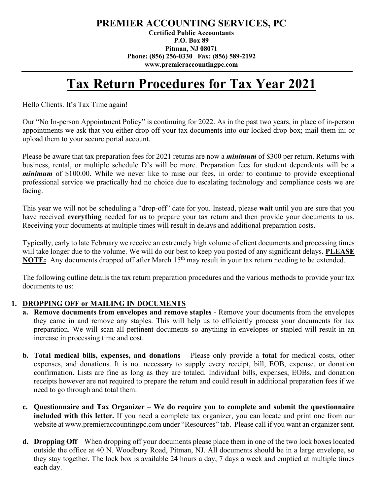## **PREMIER ACCOUNTING SERVICES, PC**

**Certified Public Accountants P.O. Box 89 Pitman, NJ 08071 Phone: (856) 256-0330 Fax: (856) 589-2192 www.premieraccountingpc.com**

# **Tax Return Procedures for Tax Year 2021**

Hello Clients. It's Tax Time again!

Our "No In-person Appointment Policy" is continuing for 2022. As in the past two years, in place of in-person appointments we ask that you either drop off your tax documents into our locked drop box; mail them in; or upload them to your secure portal account.

Please be aware that tax preparation fees for 2021 returns are now a *minimum* of \$300 per return. Returns with business, rental, or multiple schedule D's will be more. Preparation fees for student dependents will be a *minimum* of \$100.00. While we never like to raise our fees, in order to continue to provide exceptional professional service we practically had no choice due to escalating technology and compliance costs we are facing.

This year we will not be scheduling a "drop-off" date for you. Instead, please **wait** until you are sure that you have received **everything** needed for us to prepare your tax return and then provide your documents to us. Receiving your documents at multiple times will result in delays and additional preparation costs.

Typically, early to late February we receive an extremely high volume of client documents and processing times will take longer due to the volume. We will do our best to keep you posted of any significant delays. **PLEASE NOTE:** Any documents dropped off after March 15<sup>th</sup> may result in your tax return needing to be extended.

The following outline details the tax return preparation procedures and the various methods to provide your tax documents to us:

#### **1. DROPPING OFF or MAILING IN DOCUMENTS**

- **a. Remove documents from envelopes and remove staples** Remove your documents from the envelopes they came in and remove any staples. This will help us to efficiently process your documents for tax preparation. We will scan all pertinent documents so anything in envelopes or stapled will result in an increase in processing time and cost.
- **b. Total medical bills, expenses, and donations** Please only provide a **total** for medical costs, other expenses, and donations. It is not necessary to supply every receipt, bill, EOB, expense, or donation confirmation. Lists are fine as long as they are totaled. Individual bills, expenses, EOBs, and donation receipts however are not required to prepare the return and could result in additional preparation fees if we need to go through and total them.
- **c. Questionnaire and Tax Organizer We do require you to complete and submit the questionnaire included with this letter.** If you need a complete tax organizer, you can locate and print one from our website at [www.premieraccountingpc.com](http://www.premieraccountingpc.com/) under "Resources" tab. Please call if you want an organizer sent.
- **d. Dropping Off** When dropping off your documents please place them in one of the two lock boxes located outside the office at 40 N. Woodbury Road, Pitman, NJ. All documents should be in a large envelope, so they stay together. The lock box is available 24 hours a day, 7 days a week and emptied at multiple times each day.